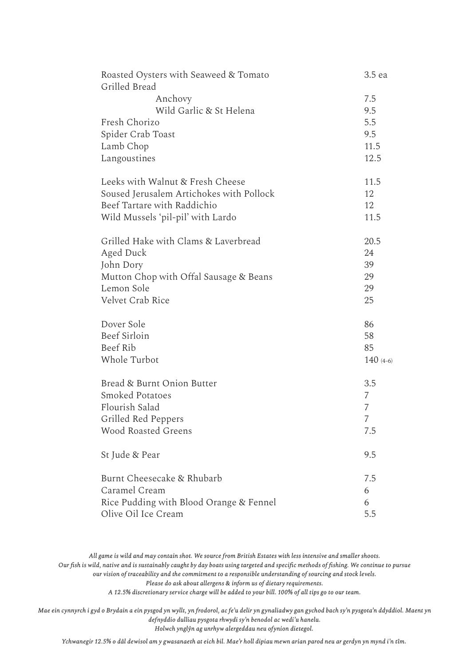| Roasted Oysters with Seaweed & Tomato<br>Grilled Bread | 3.5 ea         |
|--------------------------------------------------------|----------------|
| Anchovy                                                | 7.5            |
| Wild Garlic & St Helena                                | 9.5            |
| Fresh Chorizo                                          | 5.5            |
| Spider Crab Toast                                      | 9.5            |
| Lamb Chop                                              | 11.5           |
| Langoustines                                           | 12.5           |
| Leeks with Walnut & Fresh Cheese                       | 11.5           |
| Soused Jerusalem Artichokes with Pollock               | 12             |
| Beef Tartare with Raddichio                            | 12             |
| Wild Mussels 'pil-pil' with Lardo                      | 11.5           |
| Grilled Hake with Clams & Laverbread                   | 20.5           |
| Aged Duck                                              | 24             |
| John Dory                                              | 39             |
| Mutton Chop with Offal Sausage & Beans                 | 29             |
| Lemon Sole                                             | 29             |
| Velvet Crab Rice                                       | 25             |
| Dover Sole                                             | 86             |
| Beef Sirloin                                           | 58             |
| Beef Rib                                               | 85             |
| Whole Turbot                                           | $140(4-6)$     |
| Bread & Burnt Onion Butter                             | 3.5            |
| <b>Smoked Potatoes</b>                                 | 7              |
| Flourish Salad                                         | 7              |
| Grilled Red Peppers                                    | $\overline{7}$ |
| <b>Wood Roasted Greens</b>                             | 7.5            |
| St Jude & Pear                                         | 9.5            |
| Burnt Cheesecake & Rhubarb                             | 7.5            |
| Caramel Cream                                          | 6              |
| Rice Pudding with Blood Orange & Fennel                | 6              |
| Olive Oil Ice Cream                                    | 5.5            |

*All game is wild and may contain shot. We source from British Estates with less intensive and smaller shoots. Our fish is wild, native and is sustainably caught by day boats using targeted and specific methods of fishing. We continue to pursue our vision of traceability and the commitment to a responsible understanding of sourcing and stock levels. Please do ask about allergens & inform us of dietary requirements.*

*A 12.5% discretionary service charge will be added to your bill. 100% of all tips go to our team.*

*Mae ein cynnyrch i gyd o Brydain a ein pysgod yn wyllt, yn frodorol, ac fe'u delir yn gynaliadwy gan gychod bach sy'n pysgota'n ddyddiol. Maent yn defnyddio dulliau pysgota rhwydi sy'n benodol ac wedi'u hanelu. Holwch ynglŷn ag unrhyw alergeddau neu ofynion dietegol.*

*Ychwanegir 12.5% o dâl dewisol am y gwasanaeth at eich bil. Mae'r holl dipiau mewn arian parod neu ar gerdyn yn mynd i'n tîm.*